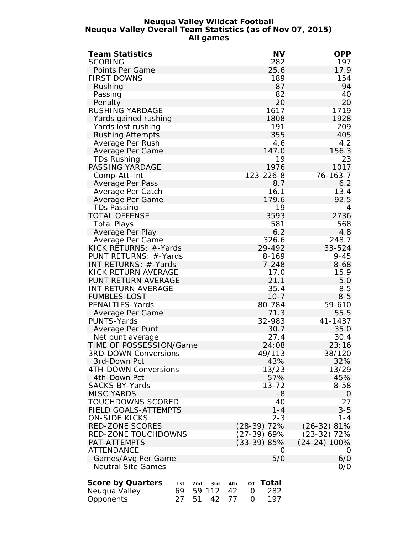#### **Neuqua Valley Wildcat Football Neuqua Valley Overall Team Statistics (as of Nov 07, 2015) All games**

| Team Statistics                      | <b>NV</b>          | <b>OPP</b>     |
|--------------------------------------|--------------------|----------------|
| <b>SCORING</b>                       | $\overline{282}$   | 197            |
| Points Per Game                      | 25.6               | 17.9           |
| <b>FIRST DOWNS</b>                   | 189                | 154            |
| Rushing                              | 87                 | 94             |
| Passing                              | 82                 | 40             |
| Penalty                              | 20                 | 20             |
| RUSHING YARDAGE                      | 1617               | 1719           |
| Yards gained rushing                 | 1808               | 1928           |
| Yards lost rushing                   | 191                | 209            |
|                                      | 355                | 405            |
| <b>Rushing Attempts</b>              |                    | 4.2            |
| Average Per Rush                     | 4.6                |                |
| Average Per Game                     | 147.0              | 156.3          |
| TDs Rushing                          | 19                 | 23             |
| PASSING YARDAGE                      | 1976               | 1017           |
| Comp-Att-Int                         | 123-226-8          | 76-163-7       |
| Average Per Pass                     | 8.7                | 6.2            |
| Average Per Catch                    | 16.1               | 13.4           |
| Average Per Game                     | 179.6              | 92.5           |
| TDs Passing                          | 19                 | $\overline{4}$ |
| <b>TOTAL OFFENSE</b>                 | 3593               | 2736           |
| <b>Total Plays</b>                   | 581                | 568            |
| Average Per Play                     | 6.2                | 4.8            |
| Average Per Game                     | 326.6              | 248.7          |
| KICK RETURNS: #-Yards                | 29-492             | 33-524         |
| PUNT RETURNS: #-Yards                | 8-169              | $9 - 45$       |
| INT RETURNS: #-Yards                 | $7 - 248$          | $8 - 68$       |
| KICK RETURN AVERAGE                  | 17.0               | 15.9           |
| PUNT RETURN AVERAGE                  | 21.1               | 5.0            |
| INT RETURN AVERAGE                   | 35.4               | 8.5            |
| <b>FUMBLES-LOST</b>                  | $10 - 7$           | $8 - 5$        |
| PENALTIES-Yards                      | 80-784             | 59-610         |
|                                      |                    |                |
| Average Per Game                     | 71.3               | 55.5           |
| PUNTS-Yards                          | 32-983             | 41-1437        |
| Average Per Punt                     | 30.7               | 35.0           |
| Net punt average                     | 27.4               | 30.4           |
| TIME OF POSSESSION/Game              | 24:08              | 23:16          |
| <b>3RD-DOWN Conversions</b>          | 49/113             | 38/120         |
| 3rd-Down Pct                         | 43%                | 32%            |
| 4TH-DOWN Conversions                 | 13/23              | 13/29          |
| 4th-Down Pct                         | 57%                | 45%            |
| <b>SACKS BY-Yards</b>                | $13 - 72$          | $8 - 58$       |
| <b>MISC YARDS</b>                    | -8                 | $\overline{O}$ |
| TOUCHDOWNS SCORED                    | 40                 | 27             |
| FIELD GOALS-ATTEMPTS                 | $1 - 4$            | $3 - 5$        |
| <b>ON-SIDE KICKS</b>                 | $2 - 3$            | $1 - 4$        |
| RED-ZONE SCORES                      | (28-39) 72%        | $(26-32)$ 81%  |
| RED-ZONE TOUCHDOWNS                  | $(27-39)$ 69%      | $(23-32)$ 72%  |
| PAT-ATTEMPTS                         | (33-39) 85%        | $(24-24)$ 100% |
| <b>ATTENDANCE</b>                    | 0                  | O              |
| Games/Avg Per Game                   | 5/0                | 6/0            |
| <b>Neutral Site Games</b>            |                    | O/O            |
|                                      |                    |                |
| Score by Quarters<br>2nd<br>1st      | Total<br>4th<br>ОT |                |
| 3rd<br>69<br>59 112<br>Neuqua Valley | 42<br>282<br>0     |                |
| Opponents<br>27<br>51<br>42          | 197<br>77<br>O     |                |
|                                      |                    |                |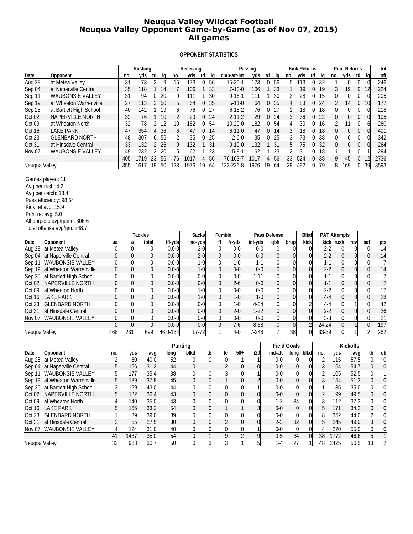### **Neuqua Valley Wildcat Football Neuqua Valley Opponent Game-by-Game (as of Nov 07, 2015) All games**

#### **OPPONENT STATISTICS**

|                                                        |                     |                | Rushing                 |                      | Receiving                      |                             |                               |                   | Passing        |                    |                    | <b>Kick Returns</b>   |                |                              |                     | <b>Punt Returns</b> |                                | tot                                     |
|--------------------------------------------------------|---------------------|----------------|-------------------------|----------------------|--------------------------------|-----------------------------|-------------------------------|-------------------|----------------|--------------------|--------------------|-----------------------|----------------|------------------------------|---------------------|---------------------|--------------------------------|-----------------------------------------|
| Date<br>Opponent                                       |                     | no.            | yds<br>td               | -lg<br>no.           | yds<br>td                      | lq                          |                               | cmp-att-int       | yds            | td<br>lq           | no.                | yds                   | td             | -lg                          | no.                 | yds<br>td           | lq                             | off                                     |
| Aug 28<br>at Metea Valley                              |                     | 31             | 73<br>$\overline{2}$    | 15<br>9              | 173<br>$\mathbf 0$             | 56                          |                               | $15 - 30 - 1$     | 173            | 0<br>56            | 5                  | 113                   | 0              | 32                           | 1                   | 0<br>0              | $\theta$                       | 246                                     |
| Sep 04<br>at Naperville Central                        |                     | 35             | 118<br>1                | 7<br>14              | 106                            | 33                          |                               | $7 - 13 - 0$      | 106            | 1<br>33            | 1                  | 19                    | 0              | 19                           | 3                   | 19<br>0             | 12                             | 224                                     |
| Sep 11<br><b>WAUBONSIE VALLEY</b>                      |                     | 31             | 94<br>0                 | 20<br>9              | 111<br>1                       | 30                          |                               | $9 - 16 - 1$      | 111            | $\mathbf{1}$<br>30 | 2                  | 28                    | 0              | 15                           | 0                   | 0<br>0              | $\Omega$                       | 205                                     |
| Sep 19<br>at Wheaton Warrenville                       |                     | 27             | 113<br>2                | 5<br>50              | 64<br>0                        | 35                          |                               | $5 - 11 - 0$      | 64             | 0<br>35            | $\overline{4}$     | 83                    | 0              | 24                           | $\overline{2}$      | 14<br>0             | 10                             | 177                                     |
| Sep 25<br>at Bartlett High School                      |                     | 40             | 142<br>1                | 19<br>6              | 76<br>0                        | 27                          |                               | $6 - 18 - 2$      | 76             | 27<br>0            | 1                  | 18                    | 0              | 18                           | 0                   | 0<br>0              | 0                              | 218                                     |
| Oct <sub>02</sub><br>NAPERVILLE NORTH                  |                     | 32             | 76<br>$\mathbf{1}$      | $\overline{2}$<br>10 | 29<br>$\mathbf 0$              | 24                          |                               | $2 - 11 - 2$      | 29             | 0<br>24            | 3                  | 36                    | 0              | 22                           | $\boldsymbol{0}$    | 0<br>0              | $\Omega$                       | 105                                     |
| Oct 09<br>at Wheaton North                             |                     | 32             | 78<br>2                 | 12<br>10             | 182<br>0                       | 54                          |                               | $10 - 20 - 0$     | 182            | 0<br>54            | 4                  | 30                    | 0              | 16                           | 2                   | 11<br>0             | 6                              | 260                                     |
| Oct 16<br><b>LAKE PARK</b>                             |                     | 47             | 354<br>$\overline{4}$   | 36<br>6              | 47<br>0                        | 14                          |                               | $6 - 11 - 0$      | 47             | 0<br>14            | 3                  | 18                    | 0              | 18                           | $\mathbf 0$         | $\mathbf{0}$<br>0   | $\Omega$                       | 401                                     |
| Oct 23<br><b>GLENBARD NORTH</b>                        |                     | 48             | 307<br>6                | 2<br>56              | 35<br>0                        | 25                          |                               | $2 - 6 - 0$       | 35             | 25<br>0            | 3                  | 73                    | 0              | 38                           | 0                   | 0<br>0              | 0                              | 342                                     |
| Oct 31<br>at Hinsdale Central                          |                     | 33             | 132<br>2                | 9<br>26              | 132                            | 31                          |                               | $9 - 19 - 0$      | 132            | $\mathbf{1}$<br>31 | 5                  | 75                    | 0              | 32                           | $\boldsymbol{0}$    | 0<br>0              | $\overline{0}$                 | 264                                     |
| Nov <sub>07</sub><br>WAUBONSIE VALLEY                  |                     | 49             | 2<br>232                | 20<br>5              | 62                             | 23                          |                               | $5 - 8 - 1$       | 62             | 1<br>23            | 2                  | 31                    | 0              | 18                           | 1                   | 0                   |                                | 294                                     |
|                                                        |                     | 405            | $\overline{23}$<br>1719 | 56<br>76             | 1017<br>4                      | 56                          |                               | 76-163-7          | 1017           | 56<br>4            | 33                 | 524                   | 0              | $\overline{38}$              | 9                   | 45                  | $\overline{12}$<br>$\mathbf 0$ | 2736                                    |
| Neuqua Valley                                          |                     | 355            | 19<br>1617              | 123<br>50            | 19<br>1976                     | 64                          |                               | 123-226-8         | 1976           | 19<br>64           | 29                 | 492                   | 0              | 79                           | 8                   | 169<br>0            | 39                             | 3593                                    |
|                                                        |                     |                |                         |                      |                                |                             |                               |                   |                |                    |                    |                       |                |                              |                     |                     |                                |                                         |
| Games played: 11                                       |                     |                |                         |                      |                                |                             |                               |                   |                |                    |                    |                       |                |                              |                     |                     |                                |                                         |
| Avg per rush: 4.2                                      |                     |                |                         |                      |                                |                             |                               |                   |                |                    |                    |                       |                |                              |                     |                     |                                |                                         |
| Avg per catch: 13.4                                    |                     |                |                         |                      |                                |                             |                               |                   |                |                    |                    |                       |                |                              |                     |                     |                                |                                         |
| Pass efficiency: 98.54                                 |                     |                |                         |                      |                                |                             |                               |                   |                |                    |                    |                       |                |                              |                     |                     |                                |                                         |
| Kick ret avg: 15.9                                     |                     |                |                         |                      |                                |                             |                               |                   |                |                    |                    |                       |                |                              |                     |                     |                                |                                         |
| Punt ret avg: 5.0                                      |                     |                |                         |                      |                                |                             |                               |                   |                |                    |                    |                       |                |                              |                     |                     |                                |                                         |
| All purpose avg/game: 306.6                            |                     |                |                         |                      |                                |                             |                               |                   |                |                    |                    |                       |                |                              |                     |                     |                                |                                         |
| Total offense avg/gm: 248.7                            |                     |                |                         |                      |                                |                             |                               |                   |                |                    |                    |                       |                |                              |                     |                     |                                |                                         |
|                                                        |                     |                | <b>Tackles</b>          |                      | Sacks                          |                             | Fumble                        |                   |                | Pass Defense       |                    | <b>Blkd</b>           |                |                              | <b>PAT Attempts</b> |                     |                                |                                         |
| Date<br>Opponent                                       | ua                  | a              | total                   | tfl-yds              | no-yds                         |                             | ff                            | fr-yds            | int-yds        | qbh                | brup               | kick                  |                |                              | kick rush           | rcv                 | saf                            | pts                                     |
| Aug 28 at Metea Valley                                 | $\mathbf 0$         | 0              | 0                       | $0.0 - 0$            | $2 - 0$                        |                             | 0                             | $0-0$             | $0 - 0$        | $\mathbf 0$        | $\theta$           |                       | $\Omega$       | $2 - 2$                      | 0                   | $\overline{0}$      | 0                              | 14                                      |
| Sep 04 at Naperville Central                           | $\mathbf{0}$        | 0              | 0                       | $0.0 - 0$            | $2 - 0$                        |                             | 0                             | $0-0$             | $0 - 0$        | $\boldsymbol{0}$   | $\overline{0}$     |                       | $\overline{0}$ | $2 - 2$                      | 0                   | $\overline{0}$      | 0                              | 14                                      |
| WAUBONSIE VALLEY<br>Sep 11                             | 0                   | 0              | 0                       | $0.0 - 0$            | $1 - 0$                        |                             | 0                             | $1-0$             | $1 - 1$        | 0                  | 0                  |                       | 0              | $1-1$                        | 0                   | $\overline{0}$      | 0                              | 7                                       |
| at Wheaton Warrenville<br>Sep 19                       | $\mathbf{0}$        | 0              | 0                       | $0.0 - 0$            | $1-0$                          |                             | 0                             | $0-0$             | $0 - 0$        | $\boldsymbol{0}$   | $\overline{0}$     |                       | 0              | $2 - 2$                      | 0                   | $\overline{0}$      | 0                              | 14                                      |
| at Bartlett High School<br>Sep 25                      | 0                   | 0              | 0                       | $0.0 - 0$            | $0-0$                          |                             | 0                             | $0-0$             | $1 - 11$       | 0                  | 0                  |                       | 0              | $1 - 1$                      | 0                   | $\overline{0}$      | 0                              | 7                                       |
| NAPERVILLE NORTH<br>Oct 02                             | 0                   | 0              | 0                       | $0.0 - 0$            | $0-0$                          |                             | 0                             | $2 - 6$           | $0 - 0$        | $\boldsymbol{0}$   | 0                  |                       | $\Omega$       | $1 - 1$                      | 0                   | $\overline{0}$      | 0                              | $\boldsymbol{7}$                        |
| Oct <sub>09</sub><br>at Wheaton North                  | 0                   | 0              | 0                       | $0.0 - 0$            | $1 - 0$                        |                             | 0                             | $0-0$             | $0 - 0$        | 0                  | 0                  |                       | 0              | $2 - 2$                      | 0                   | $\overline{0}$      | 0                              | 17                                      |
| <b>LAKE PARK</b><br>Oct 16                             | $\overline{0}$      | $\overline{0}$ | $\overline{0}$          | $0.0 - 0$            | $1-0$                          |                             | $\boldsymbol{0}$              | $1-0$             | $1 - 0$        | $\mathbf{0}$       | $\overline{0}$     |                       | 0              | $4 - 4$                      | $\overline{0}$      | $\overline{0}$      | 0                              | 28                                      |
| <b>GLENBARD NORTH</b><br>Oct 23                        | 0                   | 0              | 0                       | $0.0 - 0$            | $0-0$                          |                             | 0                             | $1-0$             | $4 - 34$       | 0                  | 0                  |                       |                | $4 - 4$                      | 0                   | $\mathbf{1}$        | 0                              | 42                                      |
| Oct 31<br>at Hinsdale Central                          | $\mathbf{0}$        | 0              | 0                       | $0.0 - 0$            | $0 - 0$                        |                             | 0                             | $2 - 0$           | $1 - 22$       | $\boldsymbol{0}$   | 0                  |                       | $\Omega$       | $2 - 2$                      | 0                   | $\overline{0}$      | 0                              | 26                                      |
| <b>WAUBONSIE VALLEY</b><br>Nov 07                      | 0                   | 0              | 0                       | $0.0 - 0$            | $0-0$                          |                             | 0                             | $0-0$             | $0-0$          | 0                  | 0                  |                       | 0              | $3 - 3$                      | 0                   | $\overline{0}$      | 0                              | 21                                      |
|                                                        | $\theta$            | $\overline{0}$ | $\overline{0}$          | $0.0 - 0$            | $0-0$                          |                             | $\pmb{0}$                     | $7-6$             | $8 - 68$       | $\overline{0}$     | $\overline{0}$     |                       | $\overline{2}$ | $24 - 24$                    | $\pmb{0}$           | $\overline{1}$      | 0                              | 197                                     |
| Neuqua Valley                                          | 468                 | 231            | 699                     | 46.0-134             | $17 - 72$                      |                             | $\mathbf{1}$                  | $4-0$             | 7-248          | $\overline{7}$     | 38                 |                       | 0              | 33-39                        | 0                   | $\mathbf{1}$        | 2                              | 282                                     |
|                                                        |                     |                |                         |                      |                                |                             |                               |                   |                |                    |                    |                       |                |                              |                     |                     |                                |                                         |
|                                                        |                     |                |                         | Punting              |                                |                             |                               |                   |                |                    | <b>Field Goals</b> |                       |                |                              |                     | Kickoffs            |                                |                                         |
| Date<br>Opponent                                       | no.                 | yds            | avq                     | long                 | blkd                           | tb                          | fc                            | $50+$             | i20            | md-att             | long               | blkd                  |                | no.                          | yds                 | avq                 | tb                             | ob                                      |
| Aug 28 at Metea Valley<br>Sep 04 at Naperville Central | $\overline{2}$<br>5 | 80<br>156      | 40.0<br>31.2            | 52<br>44             | $\mathbf{0}$<br>$\overline{0}$ | $\mathbf 0$<br>$\mathbf{1}$ | $\mathbf 0$<br>$\overline{2}$ | $\mathbf{1}$<br>0 | 1<br> 0        | $0-0$<br>$0-0$     |                    | 0<br>$\boldsymbol{0}$ | 0<br>0l        | $\overline{2}$<br>$\sqrt{3}$ | 115<br>164          | 57.5<br>54.7        | $\mathbf{0}$                   | $\pmb{0}$<br>$\mathbf 0$<br>$\mathbf 0$ |
|                                                        |                     |                |                         |                      |                                |                             |                               |                   | 1              | $0 - 0$            |                    |                       |                |                              |                     |                     |                                |                                         |
| Sep 11 WAUBONSIE VALLEY                                | 5                   | 177            | 35.4                    | 38                   | 0                              | 0                           | 3                             | 0                 |                |                    |                    | 0                     | 0              | $\overline{2}$<br>3          | 105                 | 52.5                | 0                              | 1                                       |
| Sep 19 at Wheaton Warrenville                          | 5                   | 189            | 37.8                    | 45                   | $\mathbf{0}$                   | 0                           | 1                             | $\theta$          |                | $0-0$              |                    | 0                     | 0              |                              | 154                 | 51.3                | 0                              | $\boldsymbol{0}$                        |
| Sep 25 at Bartlett High School                         | 3                   | 129            | 43.0                    | 44                   | 0                              | 0                           | 0                             | 0                 | 1              | $0 - 0$            |                    | 0                     | 0              | 1                            | 35                  | 35.0                | 0                              | 0                                       |
| Oct 02<br>NAPERVILLE NORTH                             | 5                   | 182            | 36.4                    | 43                   | $\mathbf{0}$                   | $\overline{0}$              | $\theta$                      | $\pmb{0}$         | $\overline{0}$ | $0-0$              |                    | $\boldsymbol{0}$      | 0              | $\overline{2}$               | 99                  | 49.5                | $\overline{0}$                 | $\mathbf{0}$                            |
| Oct 09<br>at Wheaton North                             | 4                   | 140            | 35.0                    | 43                   | 0                              | 0                           | 0                             | 0                 | $\overline{0}$ | $1-2$              | 34                 |                       | 0              | 3                            | 112                 | 37.3                |                                | 0<br>0                                  |
| <b>LAKE PARK</b><br>Oct 16                             | 5                   | 166            | 33.2                    | 54                   | $\overline{0}$                 | 0                           | $\mathbf{1}$                  |                   | $\overline{3}$ | $0-0$              |                    | $\boldsymbol{0}$      | $\Omega$       | 5                            | 171                 | 34.2                | 0                              | $\mathbf 0$                             |
| <b>GLENBARD NORTH</b><br>Oct 23                        | 1                   | 39             | 39.0                    | 39                   | 0                              | 0                           | 0                             | 0                 | $\overline{0}$ | $0 - 0$            |                    | 0                     | 0              | 8                            | 352                 | 44.0                | 2                              | $\mathbf 0$                             |
| Oct 31<br>at Hinsdale Central                          | $\overline{2}$      | 55             | 27.5                    | 30                   | $\mathbf{0}$                   | 0                           | 2                             | 0                 | $\overline{0}$ | $2 - 3$            | 32                 |                       | 0              | 5                            | 245                 | 49.0                | 3                              | $\boldsymbol{0}$                        |
| Nov 07 WAUBONSIE VALLEY                                | 4                   | 124            | 31.0                    | 40                   | 0                              | 0                           | 0                             | 0                 | $\mathbf{1}$   | $0-0$              |                    | 0                     | 0              | 4                            | 220                 | 55.0                | 0                              | $\overline{0}$                          |
|                                                        | 41                  | 1437           | 35.0                    | 54                   | $\boldsymbol{0}$               | $\overline{1}$              | 9                             | $\overline{2}$    | $\overline{9}$ | $3 - 5$            | 34                 |                       | $\overline{0}$ | 38                           | 1772                | 46.6                | $\overline{5}$                 | $\overline{1}$                          |
| Neuqua Valley                                          | 32                  | 983            | 30.7                    | 50                   | 0                              | 3                           | 3                             | 1                 | 5              | $1 - 4$            | 27                 |                       | 11             | 48                           | 2425                | 50.5                | 13                             | $\overline{2}$                          |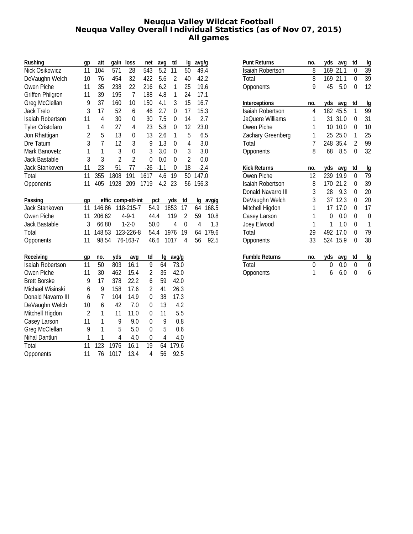### **Neuqua Valley Wildcat Football Neuqua Valley Overall Individual Statistics (as of Nov 07, 2015) All games**

| Rushing                 | gp             | att            | gain               | loss           | net              | avg    | td               | Ig             | avg/g |        |
|-------------------------|----------------|----------------|--------------------|----------------|------------------|--------|------------------|----------------|-------|--------|
| Nick Osikowicz          | 11             | 104            | 571                | 28             | 543              | 5.2    | 11               | 50             | 49.4  |        |
| DeVaughn Welch          | 10             | 76             | 454                | 32             | 422              | 5.6    | $\overline{2}$   | 40             | 42.2  |        |
| Owen Piche              | 11             | 35             | 238                | 22             | 216              | 6.2    | 1                | 25             | 19.6  |        |
| <b>Griffen Philgren</b> | 11             | 39             | 195                | $\overline{1}$ | 188              | 4.8    | 1                | 24             | 17.1  |        |
| Greg McClellan          | 9              | 37             | 160                | 10             | 150              | 4.1    | 3                | 15             | 16.7  |        |
| Jack Trelo              | 3              | 17             | 52                 | 6              | 46               | 2.7    | $\mathbf 0$      | 17             | 15.3  |        |
| Isaiah Robertson        | 11             | $\overline{4}$ | 30                 | $\mathbf 0$    | 30               | 7.5    | 0                | 14             |       | 2.7    |
| <b>Tyler Cristofaro</b> | 1              | 4              | 27                 | 4              | 23               | 5.8    | 0                | 12             | 23.0  |        |
| Jon Rhattigan           | $\overline{2}$ | 5              | 13                 | $\mathbf 0$    | 13               | 2.6    | 1                | 5              |       | 6.5    |
| Dre Tatum               | 3              | $\overline{1}$ | 12                 | 3              | 9                | 1.3    | 0                | 4              |       | 3.0    |
| Mark Banovetz           | $\mathbf{1}$   | 1              | 3                  | $\mathbf 0$    | 3                | 3.0    | $\boldsymbol{0}$ | 3              |       | 3.0    |
| Jack Bastable           | 3              | 3              | $\overline{2}$     | $\overline{2}$ | 0                | 0.0    | $\boldsymbol{0}$ | $\overline{2}$ |       | 0.0    |
| Jack Stankoven          | 11             | 23             | 51                 | 77             | $-26$            | $-1.1$ | $\mathbf 0$      | 18             |       | $-2.4$ |
| Total                   | 11             | 355            | 1808               | 191            | 1617             | 4.6    | 19               | 50             | 147.0 |        |
| Opponents               | 11             | 405            | 1928               | 209            | 1719             | 4.2    | 23               | 56             | 156.3 |        |
|                         |                |                |                    |                |                  |        |                  |                |       |        |
| Passing                 | gp             |                | effic comp-att-int |                |                  | pct    | yds              | td             | Ig    | avg/g  |
| Jack Stankoven          | 11             | 146.86         |                    | 118-215-7      | 54.9             |        | 1853             | 17             | 64    | 168.5  |
| Owen Piche              | 11             | 206.62         |                    | $4 - 9 - 1$    | 44.4             |        | 119              | $\overline{2}$ | 59    | 10.8   |
| Jack Bastable           | 3              | 66.80          |                    | $1 - 2 - 0$    | 50.0             |        | 4                | 0              | 4     | 1.3    |
| Total                   | 11             | 148.53         |                    | 123-226-8      | 54.4             |        | 1976             | 19             | 64    | 179.6  |
| Opponents               | 11             | 98.54          |                    | 76-163-7       | 46.6             |        | 1017             | 4              | 56    | 92.5   |
| Receiving               | gp             | no.            | yds                | avg            | td               | Ig     | avg/g            |                |       |        |
| Isaiah Robertson        | 11             | 50             | 803                | 16.1           | 9                | 64     | 73.0             |                |       |        |
| Owen Piche              | 11             | 30             | 462                | 15.4           | $\overline{2}$   | 35     | 42.0             |                |       |        |
| <b>Brett Borske</b>     | 9              | 17             | 378                | 22.2           | 6                | 59     | 42.0             |                |       |        |
| Michael Wisinski        | 6              | 9              | 158                | 17.6           | $\overline{2}$   | 41     | 26.3             |                |       |        |
| Donald Navarro III      | 6              | $\overline{1}$ | 104                | 14.9           | $\mathbf 0$      | 38     | 17.3             |                |       |        |
| DeVaughn Welch          | 10             | 6              | 42                 | 7.0            | 0                | 13     |                  | 4.2            |       |        |
| Mitchell Higdon         | $\overline{2}$ | 1              | 11                 | 11.0           | $\boldsymbol{0}$ | 11     |                  | 5.5            |       |        |
| Casey Larson            | 11             | 1              | 9                  | 9.0            | 0                | 9      |                  | 0.8            |       |        |
| Greg McClellan          | 9              | 1              | 5                  | 5.0            | $\mathbf 0$      | 5      |                  | 0.6            |       |        |
| Nihal Dantluri          | 1              | 1              | $\overline{4}$     | 4.0            | 0                | 4      |                  | 4.0            |       |        |
| Total                   | 11             | 123            | 1976               | 16.1           | 19               | 64     | 179.6            |                |       |        |
| Opponents               | 11             | 76             | 1017               | 13.4           | 4                | 56     | 92.5             |                |       |        |

| <b>Punt Returns</b>     | no.            | yds | avq  | td             | lg        |
|-------------------------|----------------|-----|------|----------------|-----------|
| Isaiah Robertson        | 8              | 169 | 21.1 | 0              | 39        |
| Total                   | 8              | 169 | 21.1 | 0              | 39        |
| Opponents               | 9              | 45  | 5.0  | 0              | 12        |
| Interceptions           | no.            | yds | avg  | td             | lg        |
| <b>Isaiah Robertson</b> | 4              | 182 | 45.5 | 1              | 99        |
| <b>JaQuere Williams</b> | 1              | 31  | 31.0 | 0              | 31        |
| Owen Piche              | 1              | 10  | 10.0 | 0              | 10        |
| Zachary Greenberg       | 1              | 25  | 25.0 | 1              | 25        |
| Total                   | $\overline{1}$ | 248 | 35.4 | $\overline{2}$ | 99        |
| Opponents               | 8              | 68  | 8.5  | 0              | 32        |
|                         |                |     |      |                |           |
| <b>Kick Returns</b>     | no.            | yds | avg  | td             | lg        |
| Owen Piche              | 12             | 239 | 19.9 | 0              | 79        |
| Isaiah Robertson        | 8              | 170 | 21.2 | 0              | 39        |
| Donald Navarro III      | 3              | 28  | 9.3  | 0              | 20        |
| DeVaughn Welch          | 3              | 37  | 12.3 | 0              | 20        |
| Mitchell Higdon         | 1              | 17  | 17.0 | 0              | 17        |
| Casey Larson            | 1              | 0   | 0.0  | 0              | $\Omega$  |
| Joey Elwood             | 1              | 1   | 1.0  | 0              | 1         |
| Total                   | 29             | 492 | 17.0 | 0              | 79        |
| Opponents               | 33             | 524 | 15.9 | 0              | 38        |
| <b>Fumble Returns</b>   | no.            | yds | avq  | td             | <u>lg</u> |
| Total                   | 0              | 0   | 0.0  | 0              | 0         |
| Opponents               | 1              | 6   | 6.0  | 0              | 6         |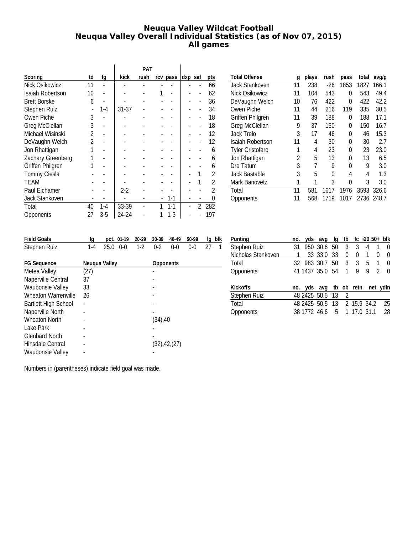# **Neuqua Valley Wildcat Football Neuqua Valley Overall Individual Statistics (as of Nov 07, 2015) All games**

|                         |               |         |       | <b>PAT</b> |          |         |   |            |
|-------------------------|---------------|---------|-------|------------|----------|---------|---|------------|
| Scoring                 | td            | fg      | kick  | rush       | rcv pass | dxp saf |   | <u>pts</u> |
| Nick Osikowicz          | 11            |         |       |            |          |         |   | 66         |
| Isaiah Robertson        | 10            |         |       |            |          |         |   | 62         |
| <b>Brett Borske</b>     | 6             |         |       |            |          |         |   | 36         |
| Stephen Ruiz            |               | $1-4$   | 31-37 |            |          |         |   | 34         |
| Owen Piche              | 3             |         |       |            |          |         |   | 18         |
| Greg McClellan          | 3             |         |       |            |          |         |   | 18         |
| Michael Wisinski        | $\mathfrak z$ |         |       |            |          |         |   | 12         |
| DeVaughn Welch          | $\mathfrak z$ |         |       |            |          |         |   | 12         |
| Jon Rhattigan           |               |         |       |            |          |         |   | 6          |
| Zachary Greenberg       |               |         |       |            |          |         |   | 6          |
| <b>Griffen Philgren</b> |               |         |       |            |          |         |   | 6          |
| Tommy Ciesla            |               |         |       |            |          |         |   | 2          |
| <b>TEAM</b>             |               |         |       |            |          |         |   | 2          |
| Paul Eichamer           |               |         | $2-2$ |            |          |         |   | 2          |
| Jack Stankoven          |               |         |       |            | $1 - 1$  |         |   | 0          |
| Total                   | 40            | $1 - 4$ | 33-39 |            | $1 - 1$  |         | 2 | 282        |
| Opponents               | 27            | $3-5$   | 24-24 |            | 1-3      |         |   | 197        |

| <b>Total Offense</b>    | q  | plays | rush  | pass | total | avg/g      |
|-------------------------|----|-------|-------|------|-------|------------|
| Jack Stankoven          | 11 | 238   | $-26$ | 1853 | 1827  | 166.1      |
| Nick Osikowicz          | 11 | 104   | 543   | 0    | 543   | 49.4       |
| DeVaughn Welch          | 10 | 76    | 422   | 0    | 422   | 42.2       |
| Owen Piche              | 11 | 44    | 216   | 119  | 335   | 30.5       |
| <b>Griffen Philgren</b> | 11 | 39    | 188   | 0    | 188   | 17.1       |
| Greg McClellan          | 9  | 37    | 150   | 0    | 150   | 16.7       |
| Jack Trelo              | 3  | 17    | 46    | 0    | 46    | 15.3       |
| Isaiah Robertson        | 11 | 4     | 30    | 0    | 30    | 2.7        |
| <b>Tyler Cristofaro</b> |    | 4     | 23    | 0    | 23    | 23.0       |
| Jon Rhattigan           | 2  | 5     | 13    | 0    | 13    | 6.5        |
| Dre Tatum               | 3  | 7     | 9     | 0    | 9     | 3.0        |
| Jack Bastable           | 3  | 5     | 0     | 4    | 4     | 1.3        |
| Mark Banovetz           | 1  | 1     | 3     | 0    | 3     | 3.0        |
| Total                   | 11 | 581   | 1617  | 1976 | 3593  | 326.6      |
| Opponents               | 11 | 568   | 1719  | 1017 |       | 2736 248.7 |
|                         |    |       |       |      |       |            |

| <b>Field Goals</b>      | fg      | pct. 01-19      | 20-29 | 30-39     | 40-49          | 50-99   | lq | blk |
|-------------------------|---------|-----------------|-------|-----------|----------------|---------|----|-----|
| Stephen Ruiz            | $1 - 4$ | 25.0<br>$0 - 0$ | $1-2$ | $0-2$     | $0 - 0$        | $0 - 0$ | 27 | 1   |
|                         |         |                 |       |           |                |         |    |     |
| <b>FG Sequence</b>      |         | Neugua Valley   |       | Opponents |                |         |    |     |
| Metea Valley            | (27)    |                 |       |           |                |         |    |     |
| Naperville Central      | 37      |                 |       |           |                |         |    |     |
| <b>Waubonsie Valley</b> | 33      |                 |       |           |                |         |    |     |
| Wheaton Warrenville     | 26      |                 |       |           |                |         |    |     |
| Bartlett High School    |         |                 |       |           |                |         |    |     |
| Naperville North        |         |                 |       |           |                |         |    |     |
| <b>Wheaton North</b>    |         |                 |       | (34),40   |                |         |    |     |
| Lake Park               |         |                 |       |           |                |         |    |     |
| <b>Glenbard North</b>   |         |                 |       |           |                |         |    |     |
| Hinsdale Central        |         |                 |       |           | (32), 42, (27) |         |    |     |
| Waubonsie Valley        |         |                 |       |           |                |         |    |     |

| Punting            | no. |             | yds avg                     | lq  |               | tb $fc$ i20 $50+$ blk |   |               |                  |
|--------------------|-----|-------------|-----------------------------|-----|---------------|-----------------------|---|---------------|------------------|
| Stephen Ruiz       | 31  |             | 950 30.6 50                 |     | 3             | 3                     | 4 | 1             | 0                |
| Nicholas Stankoven |     |             | 33 33.0                     | -33 | 0             | 0                     | 1 | 0             | $\left( \right)$ |
| Total              |     | 32 983 30.7 |                             | 50  | 3             | 3                     | 5 | 1             | 0                |
| Opponents          |     |             | 41 1437 35.0 54             |     | 1             | 9                     | 9 | $\mathcal{P}$ | O                |
|                    |     |             |                             |     |               |                       |   |               |                  |
| Kickoffs           | no. |             | yds avg tb ob retn          |     |               |                       |   | net ydln      |                  |
| Stephen Ruiz       |     |             | 48 2425 50.5                | -13 | $\mathcal{L}$ |                       |   |               |                  |
| Total              |     |             | 48 2425 50.5 13 2 15.9 34.2 |     |               |                       |   |               | 25               |
| Opponents          |     |             | 38 1772 46.6                |     |               | 5 1 17.0 31.1         |   |               | 28               |
|                    |     |             |                             |     |               |                       |   |               |                  |

Numbers in (parentheses) indicate field goal was made.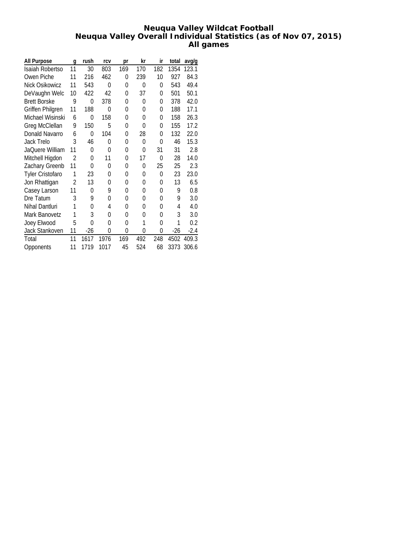# **Neuqua Valley Wildcat Football Neuqua Valley Overall Individual Statistics (as of Nov 07, 2015) All games**

| All Purpose             | q              | rush           | rcv  | рr       | kr  | ir  | total | avg/g  |
|-------------------------|----------------|----------------|------|----------|-----|-----|-------|--------|
| Isaiah Robertso         | 11             | 30             | 803  | 169      | 170 | 182 | 1354  | 123.1  |
| Owen Piche              | 11             | 216            | 462  | 0        | 239 | 10  | 927   | 84.3   |
| Nick Osikowicz          | 11             | 543            | 0    | 0        | 0   | 0   | 543   | 49.4   |
| DeVaughn Welc           | 10             | 422            | 42   | 0        | 37  | 0   | 501   | 50.1   |
| <b>Brett Borske</b>     | 9              | 0              | 378  | 0        | 0   | 0   | 378   | 42.0   |
| Griffen Philgren        | 11             | 188            | 0    | $\Omega$ | 0   | 0   | 188   | 17.1   |
| Michael Wisinski        | 6              | $\overline{0}$ | 158  | 0        | 0   | 0   | 158   | 26.3   |
| Greg McClellan          | 9              | 150            | 5    | 0        | 0   | 0   | 155   | 17.2   |
| Donald Navarro          | 6              | 0              | 104  | 0        | 28  | 0   | 132   | 22.0   |
| <b>Jack Trelo</b>       | 3              | 46             | 0    | 0        | 0   | 0   | 46    | 15.3   |
| JaQuere William         | 11             | 0              | 0    | 0        | 0   | 31  | 31    | 2.8    |
| Mitchell Higdon         | $\mathfrak{D}$ | 0              | 11   | 0        | 17  | 0   | 28    | 14.0   |
| Zachary Greenb          | 11             | 0              | 0    | 0        | 0   | 25  | 25    | 2.3    |
| <b>Tyler Cristofaro</b> | 1              | 23             | 0    | 0        | 0   | 0   | 23    | 23.0   |
| Jon Rhattigan           | 2              | 13             | 0    | $\Omega$ | 0   | 0   | 13    | 6.5    |
| Casey Larson            | 11             | 0              | 9    | 0        | 0   | 0   | 9     | 0.8    |
| Dre Tatum               | 3              | 9              | 0    | 0        | 0   | 0   | 9     | 3.0    |
| Nihal Dantluri          | 1              | 0              | 4    | 0        | 0   | 0   | 4     | 4.0    |
| Mark Banovetz           | 1              | 3              | 0    | 0        | 0   | 0   | 3     | 3.0    |
| Joey Elwood             | 5              | 0              | 0    | 0        | 1   | 0   | 1     | 0.2    |
| Jack Stankoven          | 11             | $-26$          | 0    | 0        | 0   | 0   | $-26$ | $-2.4$ |
| Total                   | 11             | 1617           | 1976 | 169      | 492 | 248 | 4502  | 409.3  |
| Opponents               | 11             | 1719           | 1017 | 45       | 524 | 68  | 3373  | 306.6  |